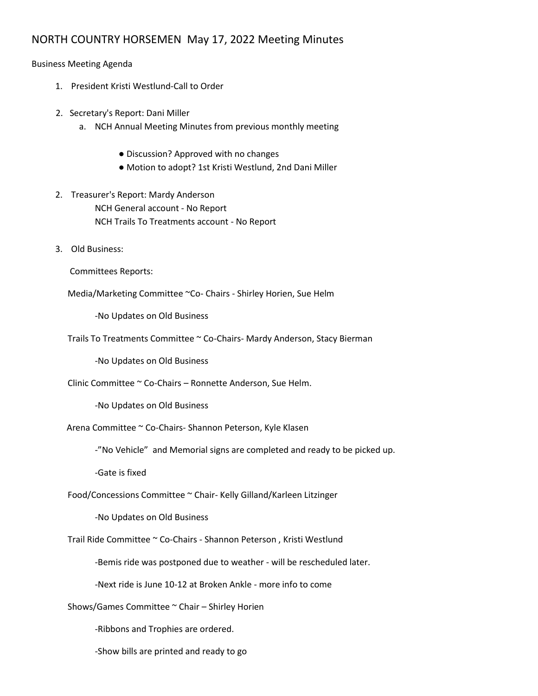## NORTH COUNTRY HORSEMEN May 17, 2022 Meeting Minutes

Business Meeting Agenda

- 1. President Kristi Westlund-Call to Order
- 2. Secretary's Report: Dani Miller
	- a. NCH Annual Meeting Minutes from previous monthly meeting
		- Discussion? Approved with no changes
		- Motion to adopt? 1st Kristi Westlund, 2nd Dani Miller
- 2. Treasurer's Report: Mardy Anderson NCH General account - No Report NCH Trails To Treatments account - No Report
- 3. Old Business:
	- Committees Reports:

Media/Marketing Committee ~Co- Chairs - Shirley Horien, Sue Helm

-No Updates on Old Business

Trails To Treatments Committee ~ Co-Chairs- Mardy Anderson, Stacy Bierman

-No Updates on Old Business

Clinic Committee ~ Co-Chairs – Ronnette Anderson, Sue Helm.

-No Updates on Old Business

Arena Committee ~ Co-Chairs- Shannon Peterson, Kyle Klasen

-"No Vehicle" and Memorial signs are completed and ready to be picked up.

-Gate is fixed

Food/Concessions Committee ~ Chair- Kelly Gilland/Karleen Litzinger

-No Updates on Old Business

Trail Ride Committee ~ Co-Chairs - Shannon Peterson , Kristi Westlund

-Bemis ride was postponed due to weather - will be rescheduled later.

-Next ride is June 10-12 at Broken Ankle - more info to come

Shows/Games Committee ~ Chair – Shirley Horien

-Ribbons and Trophies are ordered.

-Show bills are printed and ready to go